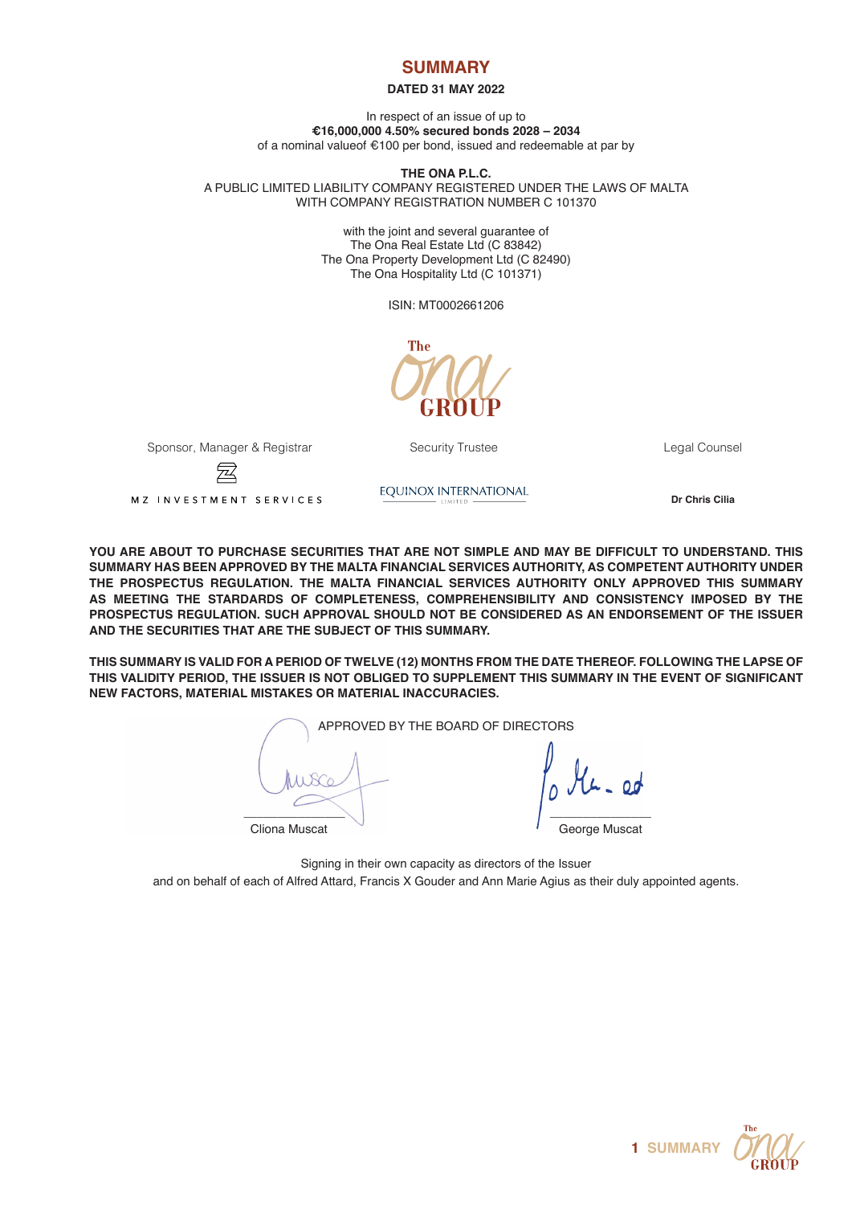# **SUMMARY**

# **DATED 31 MAY 2022**

In respect of an issue of up to **€16,000,000 4.50% secured bonds 2028 – 2034** of a nominal valueof €100 per bond, issued and redeemable at par by

**THE ONA P.L.C.** A PUBLIC LIMITED LIABILITY COMPANY REGISTERED UNDER THE LAWS OF MALTA WITH COMPANY REGISTRATION NUMBER C 101370

> with the joint and several guarantee of The Ona Real Estate Ltd (C 83842) The Ona Property Development Ltd (C 82490) The Ona Hospitality Ltd (C 101371)

> > ISIN: MT0002661206

**The** 

Sponsor, Manager & Registrar The Security Trustee Counsel Counsel Legal Counsel

**Dr Chris Cilia**<br> **Dr Chris Cilia**<br>
<u>Dr Chris Cilia</u>

**YOU ARE ABOUT TO PURCHASE SECURITIES THAT ARE NOT SIMPLE AND MAY BE DIFFICULT TO UNDERSTAND. THIS SUMMARY HAS BEEN APPROVED BY THE MALTA FINANCIAL SERVICES AUTHORITY, AS COMPETENT AUTHORITY UNDER THE PROSPECTUS REGULATION. THE MALTA FINANCIAL SERVICES AUTHORITY ONLY APPROVED THIS SUMMARY AS MEETING THE STARDARDS OF COMPLETENESS, COMPREHENSIBILITY AND CONSISTENCY IMPOSED BY THE PROSPECTUS REGULATION. SUCH APPROVAL SHOULD NOT BE CONSIDERED AS AN ENDORSEMENT OF THE ISSUER AND THE SECURITIES THAT ARE THE SUBJECT OF THIS SUMMARY.** 

**THIS SUMMARY IS VALID FOR A PERIOD OF TWELVE (12) MONTHS FROM THE DATE THEREOF. FOLLOWING THE LAPSE OF THIS VALIDITY PERIOD, THE ISSUER IS NOT OBLIGED TO SUPPLEMENT THIS SUMMARY IN THE EVENT OF SIGNIFICANT NEW FACTORS, MATERIAL MISTAKES OR MATERIAL INACCURACIES.**

APPROVED BY THE BOARD OF DIRECTORS  $\Box$  . The contract of the contract of the contract of the contract of the contract of the contract of the contract of the contract of the contract of the contract of the contract of the contract of the contract of the co Cliona Muscat George Muscat

Signing in their own capacity as directors of the Issuer

and on behalf of each of Alfred Attard, Francis X Gouder and Ann Marie Agius as their duly appointed agents.

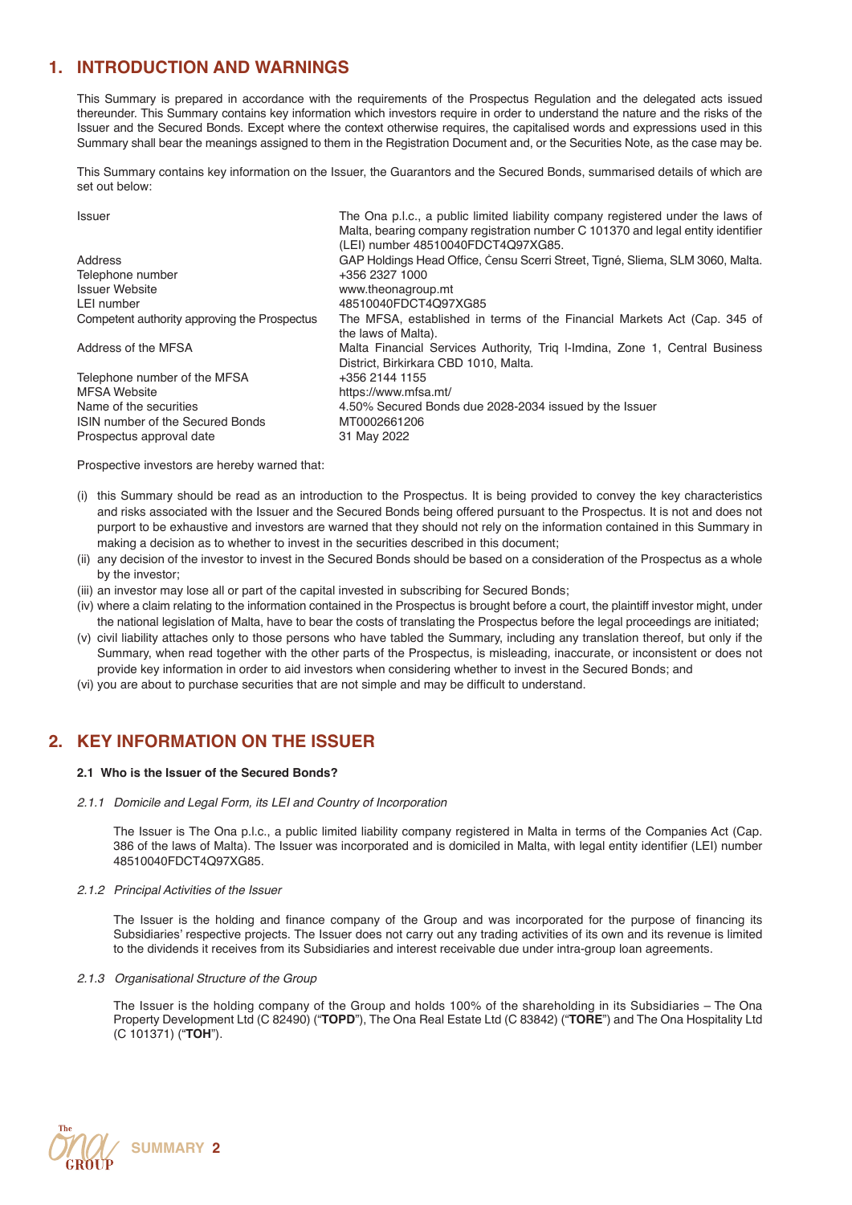# **1. INTRODUCTION AND WARNINGS**

This Summary is prepared in accordance with the requirements of the Prospectus Regulation and the delegated acts issued thereunder. This Summary contains key information which investors require in order to understand the nature and the risks of the Issuer and the Secured Bonds. Except where the context otherwise requires, the capitalised words and expressions used in this Summary shall bear the meanings assigned to them in the Registration Document and, or the Securities Note, as the case may be.

This Summary contains key information on the Issuer, the Guarantors and the Secured Bonds, summarised details of which are set out below:

| <b>Issuer</b>                                | The Ona p.l.c., a public limited liability company registered under the laws of |
|----------------------------------------------|---------------------------------------------------------------------------------|
|                                              | Malta, bearing company registration number C 101370 and legal entity identifier |
|                                              | (LEI) number 48510040FDCT4Q97XG85.                                              |
| Address                                      | GAP Holdings Head Office, Censu Scerri Street, Tigné, Sliema, SLM 3060, Malta.  |
| Telephone number                             | +356 2327 1000                                                                  |
| <b>Issuer Website</b>                        | www.theonagroup.mt                                                              |
| LEI number                                   | 48510040FDCT4Q97XG85                                                            |
| Competent authority approving the Prospectus | The MFSA, established in terms of the Financial Markets Act (Cap. 345 of        |
|                                              | the laws of Malta).                                                             |
| Address of the MFSA                          | Malta Financial Services Authority, Triq I-Imdina, Zone 1, Central Business     |
|                                              | District, Birkirkara CBD 1010, Malta.                                           |
| Telephone number of the MFSA                 | +356 2144 1155                                                                  |
| <b>MFSA Website</b>                          | https://www.mfsa.mt/                                                            |
| Name of the securities                       | 4.50% Secured Bonds due 2028-2034 issued by the Issuer                          |
| ISIN number of the Secured Bonds             | MT0002661206                                                                    |
| Prospectus approval date                     | 31 May 2022                                                                     |

Prospective investors are hereby warned that:

- (i) this Summary should be read as an introduction to the Prospectus. It is being provided to convey the key characteristics and risks associated with the Issuer and the Secured Bonds being offered pursuant to the Prospectus. It is not and does not purport to be exhaustive and investors are warned that they should not rely on the information contained in this Summary in making a decision as to whether to invest in the securities described in this document;
- (ii) any decision of the investor to invest in the Secured Bonds should be based on a consideration of the Prospectus as a whole by the investor;
- (iii) an investor may lose all or part of the capital invested in subscribing for Secured Bonds;
- (iv) where a claim relating to the information contained in the Prospectus is brought before a court, the plaintiff investor might, under the national legislation of Malta, have to bear the costs of translating the Prospectus before the legal proceedings are initiated;
- (v) civil liability attaches only to those persons who have tabled the Summary, including any translation thereof, but only if the Summary, when read together with the other parts of the Prospectus, is misleading, inaccurate, or inconsistent or does not provide key information in order to aid investors when considering whether to invest in the Secured Bonds; and
- (vi) you are about to purchase securities that are not simple and may be difficult to understand.

# **2. KEY INFORMATION ON THE ISSUER**

#### **2.1 Who is the Issuer of the Secured Bonds?**

*2.1.1 Domicile and Legal Form, its LEI and Country of Incorporation*

The Issuer is The Ona p.l.c., a public limited liability company registered in Malta in terms of the Companies Act (Cap. 386 of the laws of Malta). The Issuer was incorporated and is domiciled in Malta, with legal entity identifier (LEI) number 48510040FDCT4Q97XG85.

#### *2.1.2 Principal Activities of the Issuer*

The Issuer is the holding and finance company of the Group and was incorporated for the purpose of financing its Subsidiaries' respective projects. The Issuer does not carry out any trading activities of its own and its revenue is limited to the dividends it receives from its Subsidiaries and interest receivable due under intra-group loan agreements.

#### *2.1.3 Organisational Structure of the Group*

The Issuer is the holding company of the Group and holds 100% of the shareholding in its Subsidiaries – The Ona Property Development Ltd (C 82490) ("**TOPD**"), The Ona Real Estate Ltd (C 83842) ("**TORE**") and The Ona Hospitality Ltd (C 101371) ("**TOH**").

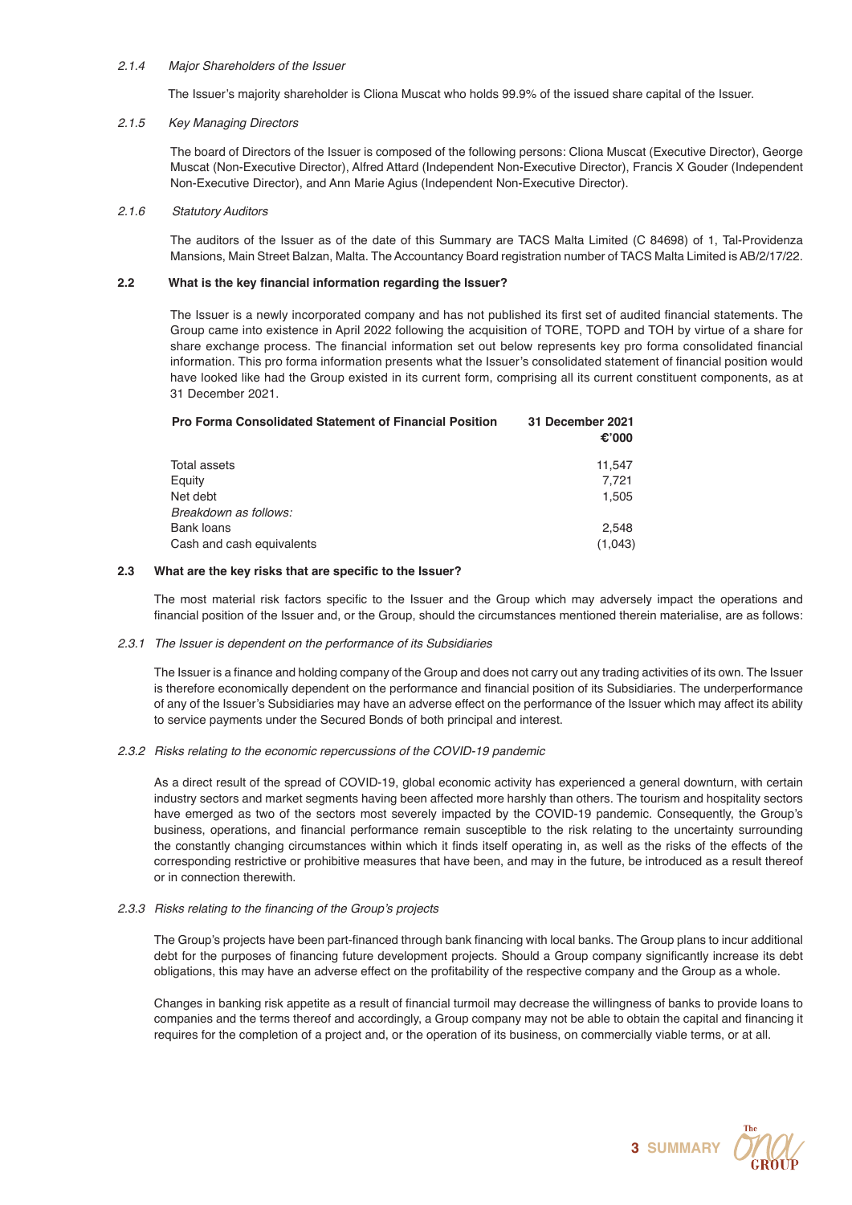# *2.1.4 Major Shareholders of the Issuer*

The Issuer's majority shareholder is Cliona Muscat who holds 99.9% of the issued share capital of the Issuer.

# *2.1.5 Key Managing Directors*

The board of Directors of the Issuer is composed of the following persons: Cliona Muscat (Executive Director), George Muscat (Non-Executive Director), Alfred Attard (Independent Non-Executive Director), Francis X Gouder (Independent Non-Executive Director), and Ann Marie Agius (Independent Non-Executive Director).

# *2.1.6 Statutory Auditors*

The auditors of the Issuer as of the date of this Summary are TACS Malta Limited (C 84698) of 1, Tal-Providenza Mansions, Main Street Balzan, Malta. The Accountancy Board registration number of TACS Malta Limited is AB/2/17/22.

# **2.2 What is the key financial information regarding the Issuer?**

 The Issuer is a newly incorporated company and has not published its first set of audited financial statements. The Group came into existence in April 2022 following the acquisition of TORE, TOPD and TOH by virtue of a share for share exchange process. The financial information set out below represents key pro forma consolidated financial information. This pro forma information presents what the Issuer's consolidated statement of financial position would have looked like had the Group existed in its current form, comprising all its current constituent components, as at 31 December 2021.

| <b>Pro Forma Consolidated Statement of Financial Position</b> | 31 December 2021<br>€'000 |
|---------------------------------------------------------------|---------------------------|
| Total assets                                                  | 11,547                    |
| Equity                                                        | 7.721                     |
| Net debt                                                      | 1,505                     |
| Breakdown as follows:                                         |                           |
| <b>Bank loans</b>                                             | 2.548                     |
| Cash and cash equivalents                                     | (1,043)                   |

# **2.3 What are the key risks that are specific to the Issuer?**

 The most material risk factors specific to the Issuer and the Group which may adversely impact the operations and financial position of the Issuer and, or the Group, should the circumstances mentioned therein materialise, are as follows:

#### *2.3.1 The Issuer is dependent on the performance of its Subsidiaries*

 The Issuer is a finance and holding company of the Group and does not carry out any trading activities of its own. The Issuer is therefore economically dependent on the performance and financial position of its Subsidiaries. The underperformance of any of the Issuer's Subsidiaries may have an adverse effect on the performance of the Issuer which may affect its ability to service payments under the Secured Bonds of both principal and interest.

#### *2.3.2 Risks relating to the economic repercussions of the COVID-19 pandemic*

As a direct result of the spread of COVID-19, global economic activity has experienced a general downturn, with certain industry sectors and market segments having been affected more harshly than others. The tourism and hospitality sectors have emerged as two of the sectors most severely impacted by the COVID-19 pandemic. Consequently, the Group's business, operations, and financial performance remain susceptible to the risk relating to the uncertainty surrounding the constantly changing circumstances within which it finds itself operating in, as well as the risks of the effects of the corresponding restrictive or prohibitive measures that have been, and may in the future, be introduced as a result thereof or in connection therewith.

#### 2.3.3 Risks relating to the financing of the Group's projects

 The Group's projects have been part-financed through bank financing with local banks. The Group plans to incur additional debt for the purposes of financing future development projects. Should a Group company significantly increase its debt obligations, this may have an adverse effect on the profitability of the respective company and the Group as a whole.

 Changes in banking risk appetite as a result of financial turmoil may decrease the willingness of banks to provide loans to companies and the terms thereof and accordingly, a Group company may not be able to obtain the capital and financing it requires for the completion of a project and, or the operation of its business, on commercially viable terms, or at all.

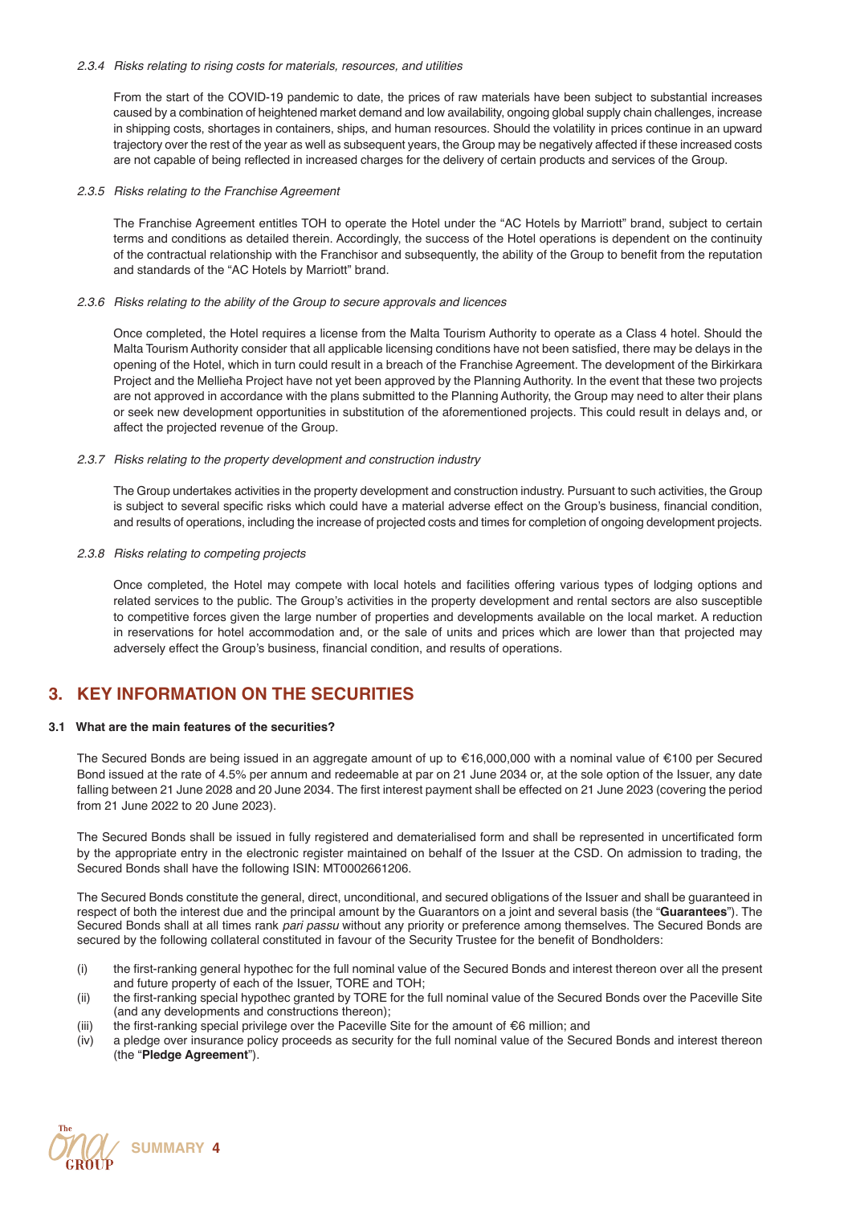### *2.3.4 Risks relating to rising costs for materials, resources, and utilities*

From the start of the COVID-19 pandemic to date, the prices of raw materials have been subject to substantial increases caused by a combination of heightened market demand and low availability, ongoing global supply chain challenges, increase in shipping costs, shortages in containers, ships, and human resources. Should the volatility in prices continue in an upward trajectory over the rest of the year as well as subsequent years, the Group may be negatively affected if these increased costs are not capable of being reflected in increased charges for the delivery of certain products and services of the Group.

### *2.3.5 Risks relating to the Franchise Agreement*

The Franchise Agreement entitles TOH to operate the Hotel under the "AC Hotels by Marriott" brand, subject to certain terms and conditions as detailed therein. Accordingly, the success of the Hotel operations is dependent on the continuity of the contractual relationship with the Franchisor and subsequently, the ability of the Group to benefit from the reputation and standards of the "AC Hotels by Marriott" brand.

#### *2.3.6 Risks relating to the ability of the Group to secure approvals and licences*

Once completed, the Hotel requires a license from the Malta Tourism Authority to operate as a Class 4 hotel. Should the Malta Tourism Authority consider that all applicable licensing conditions have not been satisfied, there may be delays in the opening of the Hotel, which in turn could result in a breach of the Franchise Agreement. The development of the Birkirkara Project and the Mellieħa Project have not yet been approved by the Planning Authority. In the event that these two projects are not approved in accordance with the plans submitted to the Planning Authority, the Group may need to alter their plans or seek new development opportunities in substitution of the aforementioned projects. This could result in delays and, or affect the projected revenue of the Group.

#### *2.3.7 Risks relating to the property development and construction industry*

The Group undertakes activities in the property development and construction industry. Pursuant to such activities, the Group is subject to several specific risks which could have a material adverse effect on the Group's business, financial condition, and results of operations, including the increase of projected costs and times for completion of ongoing development projects.

# *2.3.8 Risks relating to competing projects*

Once completed, the Hotel may compete with local hotels and facilities offering various types of lodging options and related services to the public. The Group's activities in the property development and rental sectors are also susceptible to competitive forces given the large number of properties and developments available on the local market. A reduction in reservations for hotel accommodation and, or the sale of units and prices which are lower than that projected may adversely effect the Group's business, financial condition, and results of operations.

# **3. KEY INFORMATION ON THE SECURITIES**

# **3.1 What are the main features of the securities?**

The Secured Bonds are being issued in an aggregate amount of up to €16,000,000 with a nominal value of €100 per Secured Bond issued at the rate of 4.5% per annum and redeemable at par on 21 June 2034 or, at the sole option of the Issuer, any date falling between 21 June 2028 and 20 June 2034. The first interest payment shall be effected on 21 June 2023 (covering the period from 21 June 2022 to 20 June 2023).

The Secured Bonds shall be issued in fully registered and dematerialised form and shall be represented in uncertificated form by the appropriate entry in the electronic register maintained on behalf of the Issuer at the CSD. On admission to trading, the Secured Bonds shall have the following ISIN: MT0002661206.

The Secured Bonds constitute the general, direct, unconditional, and secured obligations of the Issuer and shall be guaranteed in respect of both the interest due and the principal amount by the Guarantors on a joint and several basis (the "**Guarantees**"). The Secured Bonds shall at all times rank *pari passu* without any priority or preference among themselves. The Secured Bonds are secured by the following collateral constituted in favour of the Security Trustee for the benefit of Bondholders:

- (i) the first-ranking general hypothec for the full nominal value of the Secured Bonds and interest thereon over all the present and future property of each of the Issuer, TORE and TOH;
- (ii) the first-ranking special hypothec granted by TORE for the full nominal value of the Secured Bonds over the Paceville Site (and any developments and constructions thereon);
- (iii) the first-ranking special privilege over the Paceville Site for the amount of €6 million; and (iv) a pledge over insurance policy proceeds as security for the full nominal value of the Secu
- a pledge over insurance policy proceeds as security for the full nominal value of the Secured Bonds and interest thereon (the "**Pledge Agreement**").

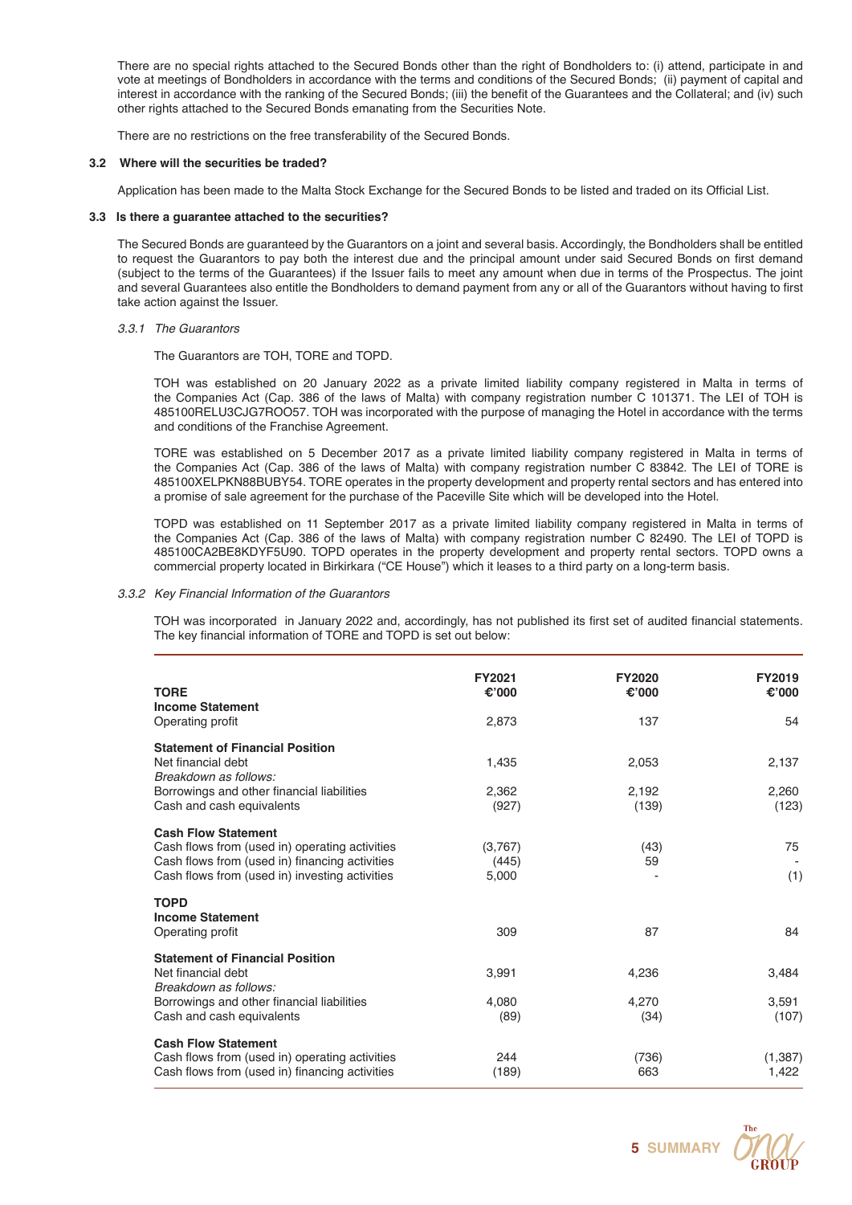There are no special rights attached to the Secured Bonds other than the right of Bondholders to: (i) attend, participate in and vote at meetings of Bondholders in accordance with the terms and conditions of the Secured Bonds; (ii) payment of capital and interest in accordance with the ranking of the Secured Bonds; (iii) the benefit of the Guarantees and the Collateral; and (iv) such other rights attached to the Secured Bonds emanating from the Securities Note.

There are no restrictions on the free transferability of the Secured Bonds.

# **3.2 Where will the securities be traded?**

Application has been made to the Malta Stock Exchange for the Secured Bonds to be listed and traded on its Official List.

### **3.3 Is there a guarantee attached to the securities?**

The Secured Bonds are guaranteed by the Guarantors on a joint and several basis. Accordingly, the Bondholders shall be entitled to request the Guarantors to pay both the interest due and the principal amount under said Secured Bonds on first demand (subject to the terms of the Guarantees) if the Issuer fails to meet any amount when due in terms of the Prospectus. The joint and several Guarantees also entitle the Bondholders to demand payment from any or all of the Guarantors without having to first take action against the Issuer.

# *3.3.1 The Guarantors*

The Guarantors are TOH, TORE and TOPD.

TOH was established on 20 January 2022 as a private limited liability company registered in Malta in terms of the Companies Act (Cap. 386 of the laws of Malta) with company registration number C 101371. The LEI of TOH is 485100RELU3CJG7ROO57. TOH was incorporated with the purpose of managing the Hotel in accordance with the terms and conditions of the Franchise Agreement.

TORE was established on 5 December 2017 as a private limited liability company registered in Malta in terms of the Companies Act (Cap. 386 of the laws of Malta) with company registration number C 83842. The LEI of TORE is 485100XELPKN88BUBY54. TORE operates in the property development and property rental sectors and has entered into a promise of sale agreement for the purchase of the Paceville Site which will be developed into the Hotel.

TOPD was established on 11 September 2017 as a private limited liability company registered in Malta in terms of the Companies Act (Cap. 386 of the laws of Malta) with company registration number C 82490. The LEI of TOPD is 485100CA2BE8KDYF5U90. TOPD operates in the property development and property rental sectors. TOPD owns a commercial property located in Birkirkara ("CE House") which it leases to a third party on a long-term basis.

# *3.3.2 Key Financial Information of the Guarantors*

 TOH was incorporated in January 2022 and, accordingly, has not published its first set of audited financial statements. The key financial information of TORE and TOPD is set out below:

| <b>TORE</b><br><b>Income Statement</b>                                                                                                                                           | FY2021<br>€'000           | <b>FY2020</b><br>€'000 | FY2019<br>€'000   |
|----------------------------------------------------------------------------------------------------------------------------------------------------------------------------------|---------------------------|------------------------|-------------------|
| Operating profit                                                                                                                                                                 | 2,873                     | 137                    | 54                |
| <b>Statement of Financial Position</b><br>Net financial debt<br>Breakdown as follows:                                                                                            | 1,435                     | 2,053                  | 2,137             |
| Borrowings and other financial liabilities<br>Cash and cash equivalents                                                                                                          | 2,362<br>(927)            | 2,192<br>(139)         | 2,260<br>(123)    |
| <b>Cash Flow Statement</b><br>Cash flows from (used in) operating activities<br>Cash flows from (used in) financing activities<br>Cash flows from (used in) investing activities | (3,767)<br>(445)<br>5,000 | (43)<br>59             | 75<br>(1)         |
| <b>TOPD</b><br><b>Income Statement</b><br>Operating profit                                                                                                                       | 309                       | 87                     | 84                |
| <b>Statement of Financial Position</b><br>Net financial debt<br>Breakdown as follows:<br>Borrowings and other financial liabilities                                              | 3,991<br>4,080            | 4,236<br>4,270         | 3,484<br>3,591    |
| Cash and cash equivalents                                                                                                                                                        | (89)                      | (34)                   | (107)             |
| <b>Cash Flow Statement</b><br>Cash flows from (used in) operating activities<br>Cash flows from (used in) financing activities                                                   | 244<br>(189)              | (736)<br>663           | (1, 387)<br>1,422 |

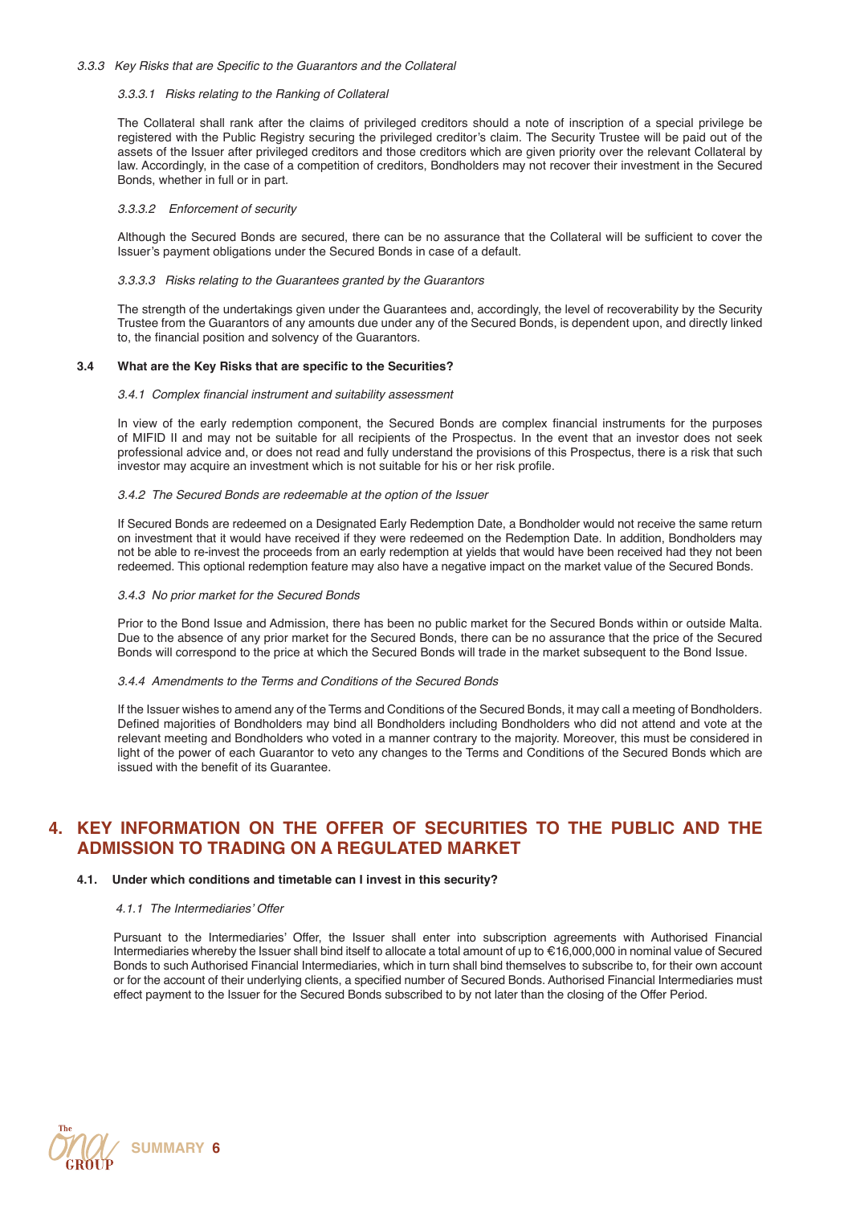### *3.3.3* Key Risks that are Specific to the Guarantors and the Collateral

#### *3.3.3.1 Risks relating to the Ranking of Collateral*

The Collateral shall rank after the claims of privileged creditors should a note of inscription of a special privilege be registered with the Public Registry securing the privileged creditor's claim. The Security Trustee will be paid out of the assets of the Issuer after privileged creditors and those creditors which are given priority over the relevant Collateral by law. Accordingly, in the case of a competition of creditors, Bondholders may not recover their investment in the Secured Bonds, whether in full or in part.

### *3.3.3.2 Enforcement of security*

Although the Secured Bonds are secured, there can be no assurance that the Collateral will be sufficient to cover the Issuer's payment obligations under the Secured Bonds in case of a default.

### *3.3.3.3 Risks relating to the Guarantees granted by the Guarantors*

The strength of the undertakings given under the Guarantees and, accordingly, the level of recoverability by the Security Trustee from the Guarantors of any amounts due under any of the Secured Bonds, is dependent upon, and directly linked to, the financial position and solvency of the Guarantors.

# **3.4 What are the Key Risks that are specific to the Securities?**

#### 3.4.1 Complex financial instrument and suitability assessment

In view of the early redemption component, the Secured Bonds are complex financial instruments for the purposes of MIFID II and may not be suitable for all recipients of the Prospectus. In the event that an investor does not seek professional advice and, or does not read and fully understand the provisions of this Prospectus, there is a risk that such investor may acquire an investment which is not suitable for his or her risk profile.

# *3.4.2 The Secured Bonds are redeemable at the option of the Issuer*

If Secured Bonds are redeemed on a Designated Early Redemption Date, a Bondholder would not receive the same return on investment that it would have received if they were redeemed on the Redemption Date. In addition, Bondholders may not be able to re-invest the proceeds from an early redemption at yields that would have been received had they not been redeemed. This optional redemption feature may also have a negative impact on the market value of the Secured Bonds.

# *3.4.3 No prior market for the Secured Bonds*

Prior to the Bond Issue and Admission, there has been no public market for the Secured Bonds within or outside Malta. Due to the absence of any prior market for the Secured Bonds, there can be no assurance that the price of the Secured Bonds will correspond to the price at which the Secured Bonds will trade in the market subsequent to the Bond Issue.

### *3.4.4 Amendments to the Terms and Conditions of the Secured Bonds*

If the Issuer wishes to amend any of the Terms and Conditions of the Secured Bonds, it may call a meeting of Bondholders. Defined majorities of Bondholders may bind all Bondholders including Bondholders who did not attend and vote at the relevant meeting and Bondholders who voted in a manner contrary to the majority. Moreover, this must be considered in light of the power of each Guarantor to veto any changes to the Terms and Conditions of the Secured Bonds which are issued with the benefit of its Guarantee.

# **4. KEY INFORMATION ON THE OFFER OF SECURITIES TO THE PUBLIC AND THE ADMISSION TO TRADING ON A REGULATED MARKET**

# **4.1. Under which conditions and timetable can I invest in this security?**

#### *4.1.1* The Intermediaries' Offer

 Pursuant to the Intermediaries' Offer, the Issuer shall enter into subscription agreements with Authorised Financial Intermediaries whereby the Issuer shall bind itself to allocate a total amount of up to €16,000,000 in nominal value of Secured Bonds to such Authorised Financial Intermediaries, which in turn shall bind themselves to subscribe to, for their own account or for the account of their underlying clients, a specified number of Secured Bonds. Authorised Financial Intermediaries must effect payment to the Issuer for the Secured Bonds subscribed to by not later than the closing of the Offer Period.